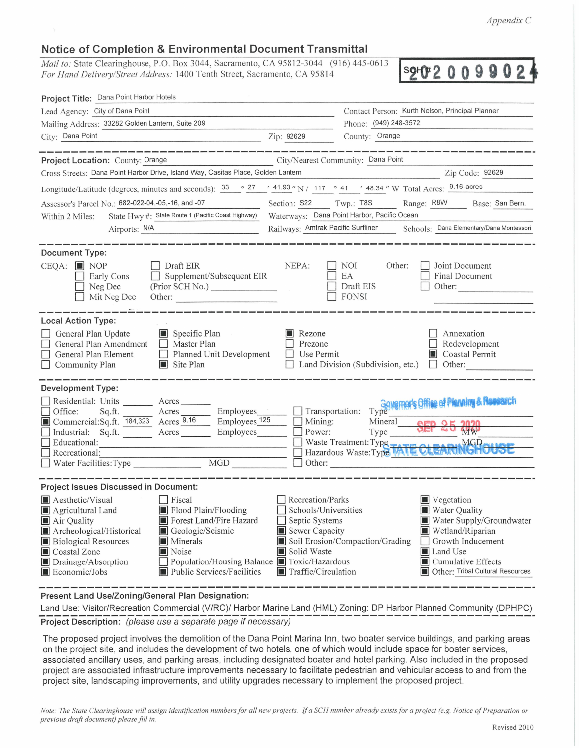*Appendix C* 

## **Notice of Completion & Environmental Document Transmittal**

*Mail to: State Clearinghouse, P.O. Box 3044, Sacramento, CA 95812-3044 (916) 445-0613* For Hand Delivery/Street Address: 1400 Tenth Street, Sacramento, CA 95814

**2 1-ftt 2 Q Q 9 Q Q 2** ♦

| Project Title: Dana Point Harbor Hotels                                                                                                                                                                                                                                                                                                                                         |                                                                                                                                   |                                                  |                                                                                                                                                                                                  |
|---------------------------------------------------------------------------------------------------------------------------------------------------------------------------------------------------------------------------------------------------------------------------------------------------------------------------------------------------------------------------------|-----------------------------------------------------------------------------------------------------------------------------------|--------------------------------------------------|--------------------------------------------------------------------------------------------------------------------------------------------------------------------------------------------------|
| Lead Agency: City of Dana Point                                                                                                                                                                                                                                                                                                                                                 |                                                                                                                                   |                                                  | Contact Person: Kurth Nelson, Principal Planner                                                                                                                                                  |
| Mailing Address: 33282 Golden Lantern, Suite 209                                                                                                                                                                                                                                                                                                                                |                                                                                                                                   | Phone: (949) 248-3572                            |                                                                                                                                                                                                  |
| City: Dana Point<br>Zip: 92629                                                                                                                                                                                                                                                                                                                                                  |                                                                                                                                   | County: Orange                                   |                                                                                                                                                                                                  |
|                                                                                                                                                                                                                                                                                                                                                                                 |                                                                                                                                   |                                                  |                                                                                                                                                                                                  |
| Project Location: County: Orange                                                                                                                                                                                                                                                                                                                                                |                                                                                                                                   | City/Nearest Community: Dana Point               |                                                                                                                                                                                                  |
| Cross Streets: Dana Point Harbor Drive, Island Way, Casitas Place, Golden Lantern                                                                                                                                                                                                                                                                                               |                                                                                                                                   |                                                  | Zip Code: 92629                                                                                                                                                                                  |
| Longitude/Latitude (degrees, minutes and seconds): $\frac{33}{27}$ $\frac{27}{41.93}$ N / 117 $\degree$ 41 $\degree$ 48.34 N W Total Acres: $\frac{9.16\text{-}acres}{27}$                                                                                                                                                                                                      |                                                                                                                                   |                                                  |                                                                                                                                                                                                  |
| Assessor's Parcel No.: 682-022-04,-05,-16, and -07                                                                                                                                                                                                                                                                                                                              |                                                                                                                                   |                                                  | Section: S22 Twp.: T8S Range: R8W Base: San Bern.                                                                                                                                                |
| State Hwy #: State Route 1 (Pacific Coast Highway)<br>Within 2 Miles:                                                                                                                                                                                                                                                                                                           |                                                                                                                                   | Waterways: Dana Point Harbor, Pacific Ocean      |                                                                                                                                                                                                  |
| Airports: N/A                                                                                                                                                                                                                                                                                                                                                                   |                                                                                                                                   |                                                  | Railways: Amtrak Pacific Surfliner Schools: Dana Elementary/Dana Montessori                                                                                                                      |
| <b>Document Type:</b><br>CEQA: NOP<br>Draft EIR<br>Supplement/Subsequent EIR<br>Early Cons<br>(Prior SCH No.)<br>Neg Dec<br>Mit Neg Dec                                                                                                                                                                                                                                         | NEPA:                                                                                                                             | NOI<br>Other:<br>EA<br>Draft EIS<br><b>FONSI</b> | Joint Document<br>Final Document<br>Other:                                                                                                                                                       |
| <b>Local Action Type:</b>                                                                                                                                                                                                                                                                                                                                                       |                                                                                                                                   |                                                  |                                                                                                                                                                                                  |
| Specific Plan<br>General Plan Update<br>General Plan Amendment<br>Master Plan<br>General Plan Element<br>Planned Unit Development<br>Community Plan<br>Site Plan                                                                                                                                                                                                                | Rezone<br>Prezone<br>Use Permit                                                                                                   | Land Division (Subdivision, etc.)                | Annexation<br>Redevelopment<br>Coastal Permit<br>Other:<br>$\Box$                                                                                                                                |
| <b>Development Type:</b>                                                                                                                                                                                                                                                                                                                                                        |                                                                                                                                   |                                                  |                                                                                                                                                                                                  |
| Residential: Units _______ Acres_<br>Office:<br>Sq.ft. Acres<br>Commercial:Sq.ft. 184,323 Acres 9.16<br>$\equiv$ Employees $\frac{125}{ }$<br>Industrial: Sq.ft. Acres Employees<br>Educational:<br>Recreational:<br>MGD<br>$\Box$ Water Facilities: Type                                                                                                                       | $\Box$ Mining:<br>$\Box$ Power:<br>Other:                                                                                         | Mineral<br>Type                                  | Transportation: Type __ Governor's Office of Planning & Research<br><b>MW</b><br>□ Waste Treatment: Type<br>□ Hazardous Waste: Type TATE CLEARINGHOUSE                                           |
| <b>Project Issues Discussed in Document:</b>                                                                                                                                                                                                                                                                                                                                    |                                                                                                                                   |                                                  |                                                                                                                                                                                                  |
| Aesthetic/Visual<br>Fiscal<br>Flood Plain/Flooding<br>Agricultural Land<br>Forest Land/Fire Hazard<br>Air Quality<br>Archeological/Historical<br>Geologic/Seismic<br><b>Biological Resources</b><br>Minerals<br>Coastal Zone<br>Noise<br>Population/Housing Balance Toxic/Hazardous<br>Drainage/Absorption<br><b>Public Services/Facilities</b><br>$\blacksquare$ Economic/Jobs | Recreation/Parks<br>Schools/Universities<br>Septic Systems<br>Sewer Capacity<br>Solid Waste<br>$\blacksquare$ Traffic/Circulation | Soil Erosion/Compaction/Grading                  | Vegetation<br><b>Water Quality</b><br>Water Supply/Groundwater<br>Wetland/Riparian<br>Growth Inducement<br>Land Use<br><b>I</b> Cumulative Effects<br><b>DE Other: Tribal Cultural Resources</b> |

**Present Land Use/Zoning/General Plan Designation:** 

Land Use: Visitor/Recreation Commercial (V/RC)/ Harbor Marine Land (HML) Zoning: DP Harbor Planned Community (DPHPC) -------------------------------------------------------------- **Project Description:** (please use a separate page if necessary)

The proposed project involves the demolition of the Dana Point Marina Inn, two boater service buildings, and parking areas on the project site, and includes the development of two hotels, one of which would include space for boater services, associated ancillary uses, and parking areas, including designated boater and hotel parking. Also included in the proposed project are associated infrastructure improvements necessary to facilitate pedestrian and vehicular access to and from the project site, landscaping improvements, and utility upgrades necessary to implement the proposed project.

*Note : The State Clearinghouse will assign identification numbers for all new projects.* If *a SCH number already exists for a project (e.g. Notice of Preparation or previous draft document) please fill in.*